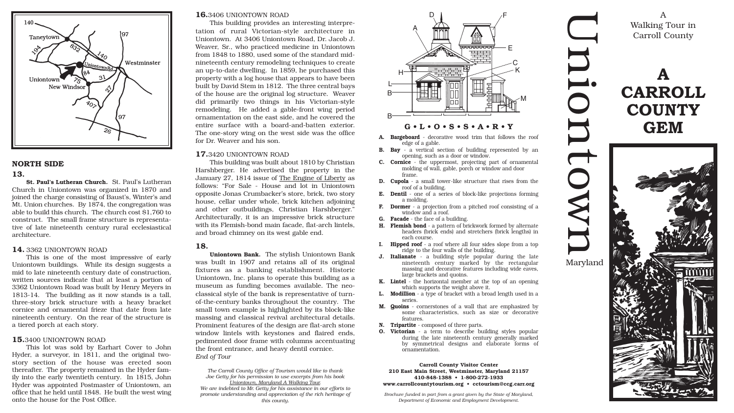i

o

 $\bf \overline{D}$ 

 $\overline{\phantom{0}}$ 

o

w





 $\bf \overline{D}$ Maryland

 $\Box$ 

 $\bf \overline{D}$ 

A Walking Tour in Carroll County

## **16.**3406 UNIONTOWN ROAD

This building provides an interesting interpretation of rural Victorian-style architecture in Uniontown. At 3406 Uniontown Road, Dr. Jacob J. Weaver, Sr., who practiced medicine in Uniontown from 1848 to 1880, used some of the standard midnineteenth century remodeling techniques to create an up-to-date dwelling. In 1859, he purchased this property with a log house that appears to have been built by David Stem in 1812. The three central bays of the house are the original log structure. Weaver did primarily two things in his Victorian-style remodeling. He added a gable-front wing period ornamentation on the east side, and he covered the entire surface with a board-and-batten exterior. The one-story wing on the west side was the office for Dr. Weaver and his son.

## **17.**3420 UNIONTOWN ROAD

This building was built about 1810 by Christian Harshberger. He advertised the property in the January 27, 1814 issue of The Engine of Liberty as follows: "For Sale - House and lot in Uniontown opposite Jonas Crumbacker's store, brick, two story house, cellar under whole, brick kitchen adjoining and other outbuildings, Christian Harshberger." Architecturally, it is an impressive brick structure with its Flemish-bond main facade, flat-arch lintels, and broad chimney on its west gable end.

## **18.**

**Uniontown Bank.** The stylish Uniontown Bank was built in 1907 and retains all of its original fixtures as a banking establishment. Historic Uniontown, Inc. plans to operate this building as a museum as funding becomes available. The neoclassical style of the bank is representative of turnof-the-century banks throughout the country. The small town example is highlighted by its block-like massing and classical revival architectural details. Prominent features of the design are flat-arch stone window lintels with keystones and flaired ends, pedimented door frame with columns accentuating the front entrance, and heavy dentil cornice. *End of Tour*

*The Carroll County Office of Tourism would like to thank Joe Getty for his permission to use excerpts from his book Uniontown, Maryland A Walking Tour. We are indebted to Mr. Getty for his assistance in our efforts to promote understanding and appreciation of the rich heritage of this county.*

## **G • L • O • S • S • A • R • Y**

- **A. Bargeboard** decorative wood trim that follows the roof edge of a gable.
- **B. Bay** a vertical section of building represented by an opening, such as a door or window.
- **C. Cornice** the uppermost, projecting part of ornamental molding of wall, gable, porch or window and door frame.
- **D. Cupola** a small tower-like structure that rises from the roof of a building.
- **E. Dentil** one of a series of block-like projections forming a molding.
- **F. Dormer** a projection from a pitched roof consisting of a window and a roof.
- **G. Facade** the face of a building.
- **H. Flemish bond** a pattern of brickwork formed by alternate headers (brick ends) and stretchers (brick lengths) in each course.
- **I. Hipped roof** a roof where all four sides slope from a top ridge to the four walls of the building.
- **J. Italianate** a building style popular during the late nineteenth century marked by the rectangular massing and decorative features including wide eaves, large brackets and quoins.
- **K. Lintel** the horizontal member at the top of an opening which supports the weight above it.
- **L. Modillion** a type of bracket with a broad length used in a series.
- **M. Quoins** cornerstones of a wall that are emphasized by some characteristics, such as size or decorative features.
- **N. Tripartite** composed of three parts.
- **O. Victorian** a term to describe building styles popular during the late nineteenth century generally marked by symmetrical designs and elaborate forms of ornamentation.



## **NORTH SIDE**

#### **13.**

**St. Paul's Lutheran Church.** St. Paul's Lutheran Church in Uniontown was organized in 1870 and joined the charge consisting of Baust's, Winter's and Mt. Union churches. By 1874, the congregation was able to build this church. The church cost \$1,760 to construct. The small frame structure is representative of late nineteenth century rural ecclesiastical architecture.

## **14.** 3362 UNIONTOWN ROAD

This is one of the most impressive of early Uniontown buildings. While its design suggests a mid to late nineteenth century date of construction, written sources indicate that at least a portion of 3362 Uniontown Road was built by Henry Meyers in 1813-14. The building as it now stands is a tall, three-story brick structure with a heavy bracket cornice and ornamental frieze that date from late nineteenth century. On the rear of the structure is a tiered porch at each story.

## **15.**3400 UNIONTOWN ROAD

This lot was sold by Earhart Cover to John Hyder, a surveyor, in 1811, and the original twostory section of the house was erected soon thereafter. The property remained in the Hyder family into the early twentieth century. In 1815, John Hyder was appointed Postmaster of Uniontown, an office that he held until 1848. He built the west wing onto the house for the Post Office.



#### **Carroll County Visitor Center 210 East Main Street, Westminster, Maryland 21157 410-848-1388 • 1-800-272-1933 www.carrollcountytourism.org • cctourism@ccg.carr.org**

*Brochure funded in part from a grant given by the State of Maryland, Department of Economic and Employment Development.*